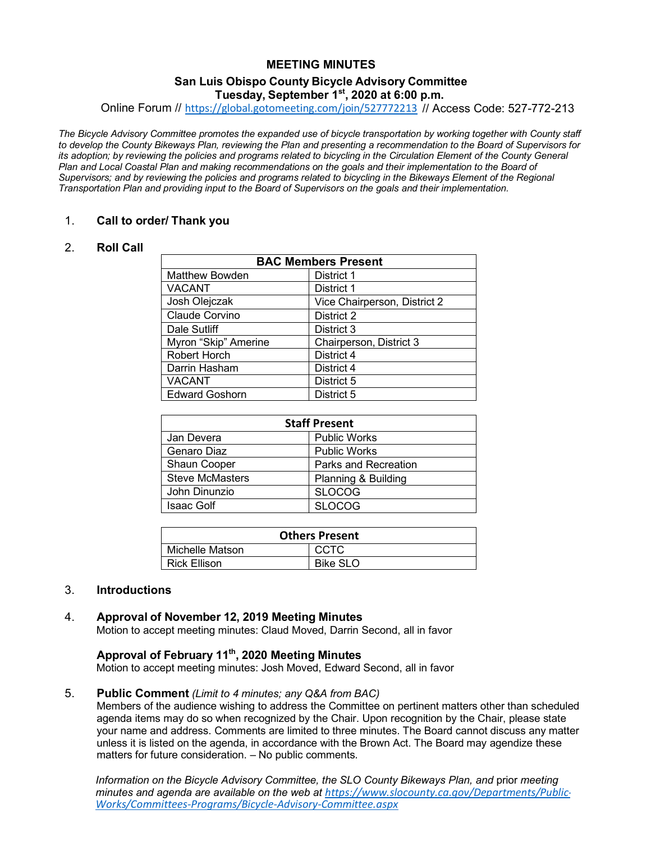# **MEETING MINUTES**

### **San Luis Obispo County Bicycle Advisory Committee Tuesday, September 1st, 2020 at 6:00 p.m.**

Online Forum // [https://global.gotomeeting.com/join/527772213](https://gcc02.safelinks.protection.outlook.com/?url=https%3A%2F%2Fglobal.gotomeeting.com%2Fjoin%2F527772213&data=02%7C01%7CJDevera%40co.slo.ca.us%7C6304415ccd2e45a5ae3908d810afca1d%7C84c3c7747fdf40e2a59027b2e70f8126%7C0%7C0%7C637277694500648828&sdata=ybg%2Bln1ye8b11kmIiEkUiQUyw1Zqaa9ajIMAnfD96AA%3D&reserved=0) // Access Code: 527-772-213

*The Bicycle Advisory Committee promotes the expanded use of bicycle transportation by working together with County staff to develop the County Bikeways Plan, reviewing the Plan and presenting a recommendation to the Board of Supervisors for its adoption; by reviewing the policies and programs related to bicycling in the Circulation Element of the County General Plan and Local Coastal Plan and making recommendations on the goals and their implementation to the Board of Supervisors; and by reviewing the policies and programs related to bicycling in the Bikeways Element of the Regional Transportation Plan and providing input to the Board of Supervisors on the goals and their implementation.*

### 1. **Call to order/ Thank you**

### 2. **Roll Call**

| <b>BAC Members Present</b> |                              |
|----------------------------|------------------------------|
| <b>Matthew Bowden</b>      | District 1                   |
| <b>VACANT</b>              | District 1                   |
| Josh Olejczak              | Vice Chairperson, District 2 |
| Claude Corvino             | District 2                   |
| Dale Sutliff               | District 3                   |
| Myron "Skip" Amerine       | Chairperson, District 3      |
| Robert Horch               | District 4                   |
| Darrin Hasham              | District 4                   |
| <b>VACANT</b>              | District 5                   |
| <b>Edward Goshorn</b>      | District 5                   |

| <b>Staff Present</b>   |                      |  |
|------------------------|----------------------|--|
| Jan Devera             | <b>Public Works</b>  |  |
| Genaro Diaz            | <b>Public Works</b>  |  |
| <b>Shaun Cooper</b>    | Parks and Recreation |  |
| <b>Steve McMasters</b> | Planning & Building  |  |
| John Dinunzio          | <b>SLOCOG</b>        |  |
| <b>Isaac Golf</b>      | <b>SLOCOG</b>        |  |

| <b>Others Present</b> |                 |  |
|-----------------------|-----------------|--|
| Michelle Matson       | CCTC            |  |
| Rick Ellison          | <b>Bike SLO</b> |  |

#### 3. **Introductions**

#### 4. **Approval of November 12, 2019 Meeting Minutes**

Motion to accept meeting minutes: Claud Moved, Darrin Second, all in favor

### **Approval of February 11th, 2020 Meeting Minutes**

Motion to accept meeting minutes: Josh Moved, Edward Second, all in favor

#### 5. **Public Comment** *(Limit to 4 minutes; any Q&A from BAC)*

Members of the audience wishing to address the Committee on pertinent matters other than scheduled agenda items may do so when recognized by the Chair. Upon recognition by the Chair, please state your name and address. Comments are limited to three minutes. The Board cannot discuss any matter unless it is listed on the agenda, in accordance with the Brown Act. The Board may agendize these matters for future consideration. – No public comments.

*Information on the Bicycle Advisory Committee, the SLO County Bikeways Plan, and* prior *meeting minutes and agenda are available on the web at [https://www.slocounty.ca.gov/Departments/Public-](https://www.slocounty.ca.gov/Departments/Public-Works/Committees-Programs/Bicycle-Advisory-Committee.aspx)[Works/Committees-Programs/Bicycle-Advisory-Committee.aspx](https://www.slocounty.ca.gov/Departments/Public-Works/Committees-Programs/Bicycle-Advisory-Committee.aspx)*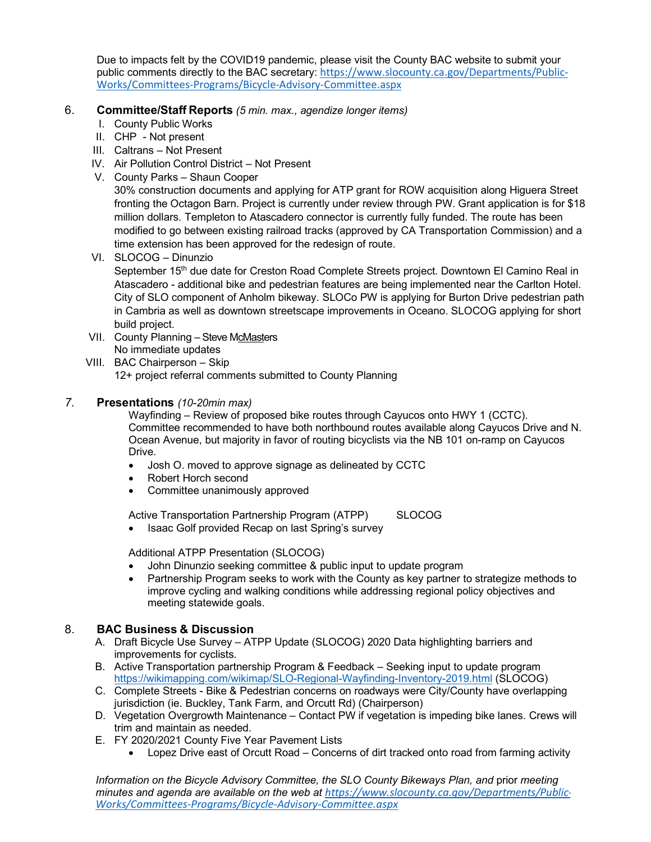Due to impacts felt by the COVID19 pandemic, please visit the County BAC website to submit your public comments directly to the BAC secretary: [https://www.slocounty.ca.gov/Departments/Public-](https://www.slocounty.ca.gov/Departments/Public-Works/Committees-Programs/Bicycle-Advisory-Committee.aspx)[Works/Committees-Programs/Bicycle-Advisory-Committee.aspx](https://www.slocounty.ca.gov/Departments/Public-Works/Committees-Programs/Bicycle-Advisory-Committee.aspx)

# 6. **Committee/Staff Reports** *(5 min. max., agendize longer items)*

- I. County Public Works
- II. CHP Not present
- III. Caltrans Not Present
- IV. Air Pollution Control District Not Present
- V. County Parks Shaun Cooper

30% construction documents and applying for ATP grant for ROW acquisition along Higuera Street fronting the Octagon Barn. Project is currently under review through PW. Grant application is for \$18 million dollars. Templeton to Atascadero connector is currently fully funded. The route has been modified to go between existing railroad tracks (approved by CA Transportation Commission) and a time extension has been approved for the redesign of route.

- VI. SLOCOG Dinunzio September 15<sup>th</sup> due date for Creston Road Complete Streets project. Downtown El Camino Real in Atascadero - additional bike and pedestrian features are being implemented near the Carlton Hotel. City of SLO component of Anholm bikeway. SLOCo PW is applying for Burton Drive pedestrian path in Cambria as well as downtown streetscape improvements in Oceano. SLOCOG applying for short build project.
- VII. County Planning Steve McMasters No immediate updates

VIII. BAC Chairperson – Skip 12+ project referral comments submitted to County Planning

# *7.* **Presentations** *(10-20min max)*

Wayfinding – Review of proposed bike routes through Cayucos onto HWY 1 (CCTC). Committee recommended to have both northbound routes available along Cayucos Drive and N. Ocean Avenue, but majority in favor of routing bicyclists via the NB 101 on-ramp on Cayucos Drive.

- Josh O. moved to approve signage as delineated by CCTC
- Robert Horch second
- Committee unanimously approved

Active Transportation Partnership Program (ATPP) SLOCOG

• Isaac Golf provided Recap on last Spring's survey

Additional ATPP Presentation (SLOCOG)

- John Dinunzio seeking committee & public input to update program
- Partnership Program seeks to work with the County as key partner to strategize methods to improve cycling and walking conditions while addressing regional policy objectives and meeting statewide goals.

# 8. **BAC Business & Discussion**

- A. Draft Bicycle Use Survey ATPP Update (SLOCOG) 2020 Data highlighting barriers and improvements for cyclists.
- B. Active Transportation partnership Program & Feedback Seeking input to update program <https://wikimapping.com/wikimap/SLO-Regional-Wayfinding-Inventory-2019.html> (SLOCOG)
- C. Complete Streets Bike & Pedestrian concerns on roadways were City/County have overlapping jurisdiction (ie. Buckley, Tank Farm, and Orcutt Rd) (Chairperson)
- D. Vegetation Overgrowth Maintenance Contact PW if vegetation is impeding bike lanes. Crews will trim and maintain as needed.
- E. FY 2020/2021 County Five Year Pavement Lists
	- Lopez Drive east of Orcutt Road Concerns of dirt tracked onto road from farming activity

*Information on the Bicycle Advisory Committee, the SLO County Bikeways Plan, and* prior *meeting minutes and agenda are available on the web at [https://www.slocounty.ca.gov/Departments/Public-](https://www.slocounty.ca.gov/Departments/Public-Works/Committees-Programs/Bicycle-Advisory-Committee.aspx)[Works/Committees-Programs/Bicycle-Advisory-Committee.aspx](https://www.slocounty.ca.gov/Departments/Public-Works/Committees-Programs/Bicycle-Advisory-Committee.aspx)*